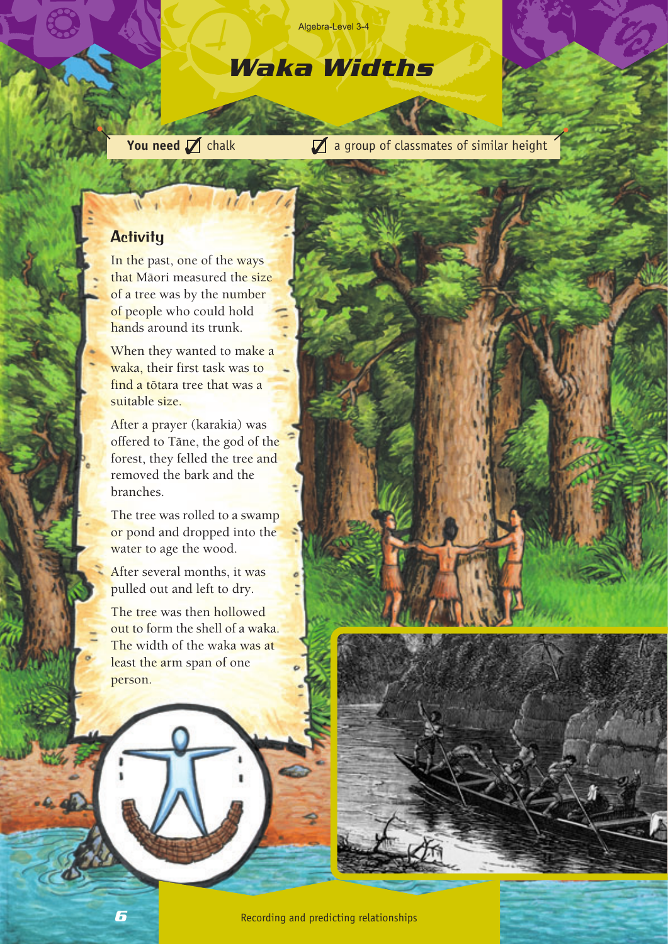#### Algebra-Level 3-4

# *Waka Widths*

**You need** chalk a group of classmates of similar height

## **Activity**

In the past, one of the ways that Màori measured the size of a tree was by the number of people who could hold hands around its trunk.

 $\frac{1}{2}$ 

When they wanted to make a waka, their first task was to find a tòtara tree that was a suitable size.

After a prayer (karakia) was offered to Tàne, the god of the forest, they felled the tree and removed the bark and the branches.

The tree was rolled to a swamp or pond and dropped into the water to age the wood.

After several months, it was pulled out and left to dry.

The tree was then hollowed out to form the shell of a waka. The width of the waka was at least the arm span of one person.

*6*

 $-6.0$